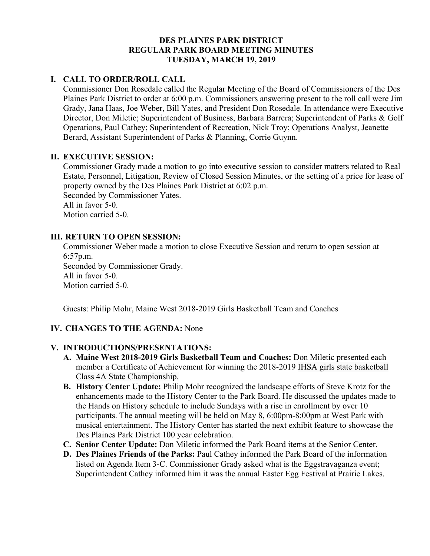## **DES PLAINES PARK DISTRICT REGULAR PARK BOARD MEETING MINUTES TUESDAY, MARCH 19, 2019**

## **I. CALL TO ORDER/ROLL CALL**

Commissioner Don Rosedale called the Regular Meeting of the Board of Commissioners of the Des Plaines Park District to order at 6:00 p.m. Commissioners answering present to the roll call were Jim Grady, Jana Haas, Joe Weber, Bill Yates, and President Don Rosedale. In attendance were Executive Director, Don Miletic; Superintendent of Business, Barbara Barrera; Superintendent of Parks & Golf Operations, Paul Cathey; Superintendent of Recreation, Nick Troy; Operations Analyst, Jeanette Berard, Assistant Superintendent of Parks & Planning, Corrie Guynn.

## **II. EXECUTIVE SESSION:**

Commissioner Grady made a motion to go into executive session to consider matters related to Real Estate, Personnel, Litigation, Review of Closed Session Minutes, or the setting of a price for lease of property owned by the Des Plaines Park District at 6:02 p.m. Seconded by Commissioner Yates.

All in favor 5-0.

Motion carried 5-0.

## **III. RETURN TO OPEN SESSION:**

Commissioner Weber made a motion to close Executive Session and return to open session at 6:57p.m. Seconded by Commissioner Grady. All in favor 5-0. Motion carried 5-0.

Guests: Philip Mohr, Maine West 2018-2019 Girls Basketball Team and Coaches

## **IV. CHANGES TO THE AGENDA:** None

## **V. INTRODUCTIONS/PRESENTATIONS:**

- **A. Maine West 2018-2019 Girls Basketball Team and Coaches:** Don Miletic presented each member a Certificate of Achievement for winning the 2018-2019 IHSA girls state basketball Class 4A State Championship.
- **B. History Center Update:** Philip Mohr recognized the landscape efforts of Steve Krotz for the enhancements made to the History Center to the Park Board. He discussed the updates made to the Hands on History schedule to include Sundays with a rise in enrollment by over 10 participants. The annual meeting will be held on May 8, 6:00pm-8:00pm at West Park with musical entertainment. The History Center has started the next exhibit feature to showcase the Des Plaines Park District 100 year celebration.
- **C. Senior Center Update:** Don Miletic informed the Park Board items at the Senior Center.
- **D. Des Plaines Friends of the Parks:** Paul Cathey informed the Park Board of the information listed on Agenda Item 3-C. Commissioner Grady asked what is the Eggstravaganza event; Superintendent Cathey informed him it was the annual Easter Egg Festival at Prairie Lakes.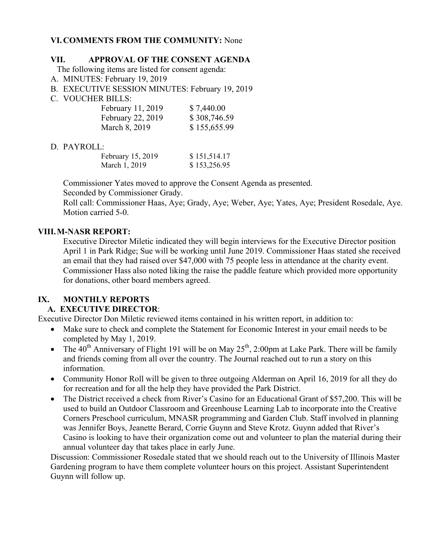## **VI.COMMENTS FROM THE COMMUNITY:** None

#### **VII. APPROVAL OF THE CONSENT AGENDA**

The following items are listed for consent agenda:

- A. MINUTES: February 19, 2019
- B. EXECUTIVE SESSION MINUTES: February 19, 2019
- C. VOUCHER BILLS:

| February 11, 2019 | \$7,440.00   |
|-------------------|--------------|
| February 22, 2019 | \$308,746.59 |
| March 8, 2019     | \$155,655.99 |

## D. PAYROLL:

| February 15, 2019 | \$151,514.17 |
|-------------------|--------------|
| March 1, 2019     | \$153,256.95 |

 Commissioner Yates moved to approve the Consent Agenda as presented. Seconded by Commissioner Grady.

 Roll call: Commissioner Haas, Aye; Grady, Aye; Weber, Aye; Yates, Aye; President Rosedale, Aye. Motion carried 5-0.

## **VIII.M-NASR REPORT:**

Executive Director Miletic indicated they will begin interviews for the Executive Director position April 1 in Park Ridge; Sue will be working until June 2019. Commissioner Haas stated she received an email that they had raised over \$47,000 with 75 people less in attendance at the charity event. Commissioner Hass also noted liking the raise the paddle feature which provided more opportunity for donations, other board members agreed.

## **IX. MONTHLY REPORTS**

## **A. EXECUTIVE DIRECTOR**:

Executive Director Don Miletic reviewed items contained in his written report, in addition to:

- Make sure to check and complete the Statement for Economic Interest in your email needs to be completed by May 1, 2019.
- The  $40^{th}$  Anniversary of Flight 191 will be on May  $25^{th}$ , 2:00pm at Lake Park. There will be family and friends coming from all over the country. The Journal reached out to run a story on this information.
- Community Honor Roll will be given to three outgoing Alderman on April 16, 2019 for all they do for recreation and for all the help they have provided the Park District.
- The District received a check from River's Casino for an Educational Grant of \$57,200. This will be used to build an Outdoor Classroom and Greenhouse Learning Lab to incorporate into the Creative Corners Preschool curriculum, MNASR programming and Garden Club. Staff involved in planning was Jennifer Boys, Jeanette Berard, Corrie Guynn and Steve Krotz. Guynn added that River's Casino is looking to have their organization come out and volunteer to plan the material during their annual volunteer day that takes place in early June.

Discussion: Commissioner Rosedale stated that we should reach out to the University of Illinois Master Gardening program to have them complete volunteer hours on this project. Assistant Superintendent Guynn will follow up.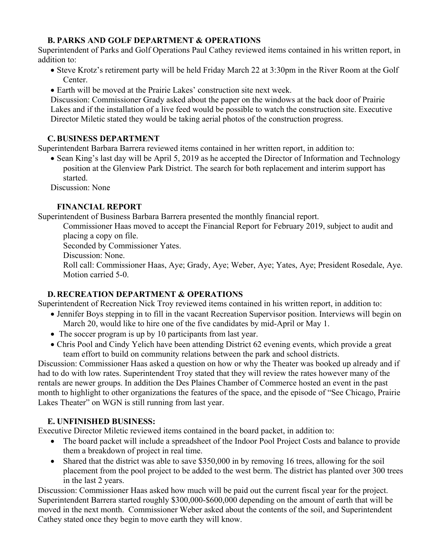## **B. PARKS AND GOLF DEPARTMENT & OPERATIONS**

Superintendent of Parks and Golf Operations Paul Cathey reviewed items contained in his written report, in addition to:

- Steve Krotz's retirement party will be held Friday March 22 at 3:30pm in the River Room at the Golf Center.
- Earth will be moved at the Prairie Lakes' construction site next week.

Discussion: Commissioner Grady asked about the paper on the windows at the back door of Prairie Lakes and if the installation of a live feed would be possible to watch the construction site. Executive Director Miletic stated they would be taking aerial photos of the construction progress.

## **C.BUSINESS DEPARTMENT**

Superintendent Barbara Barrera reviewed items contained in her written report, in addition to:

• Sean King's last day will be April 5, 2019 as he accepted the Director of Information and Technology position at the Glenview Park District. The search for both replacement and interim support has started.

Discussion: None

# **FINANCIAL REPORT**

Superintendent of Business Barbara Barrera presented the monthly financial report.

Commissioner Haas moved to accept the Financial Report for February 2019, subject to audit and placing a copy on file.

Seconded by Commissioner Yates.

Discussion: None.

 Roll call: Commissioner Haas, Aye; Grady, Aye; Weber, Aye; Yates, Aye; President Rosedale, Aye. Motion carried 5-0.

# **D. RECREATION DEPARTMENT & OPERATIONS**

Superintendent of Recreation Nick Troy reviewed items contained in his written report, in addition to:

- Jennifer Boys stepping in to fill in the vacant Recreation Supervisor position. Interviews will begin on March 20, would like to hire one of the five candidates by mid-April or May 1.
- The soccer program is up by 10 participants from last year.
- Chris Pool and Cindy Yelich have been attending District 62 evening events, which provide a great team effort to build on community relations between the park and school districts.

Discussion: Commissioner Haas asked a question on how or why the Theater was booked up already and if had to do with low rates. Superintendent Troy stated that they will review the rates however many of the rentals are newer groups. In addition the Des Plaines Chamber of Commerce hosted an event in the past month to highlight to other organizations the features of the space, and the episode of "See Chicago, Prairie Lakes Theater" on WGN is still running from last year.

# **E. UNFINISHED BUSINESS:**

Executive Director Miletic reviewed items contained in the board packet, in addition to:

- The board packet will include a spreadsheet of the Indoor Pool Project Costs and balance to provide them a breakdown of project in real time.
- Shared that the district was able to save \$350,000 in by removing 16 trees, allowing for the soil placement from the pool project to be added to the west berm. The district has planted over 300 trees in the last 2 years.

Discussion: Commissioner Haas asked how much will be paid out the current fiscal year for the project. Superintendent Barrera started roughly \$300,000-\$600,000 depending on the amount of earth that will be moved in the next month. Commissioner Weber asked about the contents of the soil, and Superintendent Cathey stated once they begin to move earth they will know.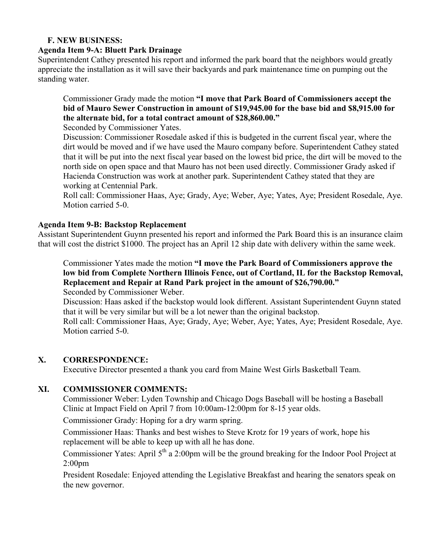#### **F. NEW BUSINESS:**

#### **Agenda Item 9-A: Bluett Park Drainage**

Superintendent Cathey presented his report and informed the park board that the neighbors would greatly appreciate the installation as it will save their backyards and park maintenance time on pumping out the standing water.

Commissioner Grady made the motion **"I move that Park Board of Commissioners accept the bid of Mauro Sewer Construction in amount of \$19,945.00 for the base bid and \$8,915.00 for the alternate bid, for a total contract amount of \$28,860.00."** 

Seconded by Commissioner Yates.

Discussion: Commissioner Rosedale asked if this is budgeted in the current fiscal year, where the dirt would be moved and if we have used the Mauro company before. Superintendent Cathey stated that it will be put into the next fiscal year based on the lowest bid price, the dirt will be moved to the north side on open space and that Mauro has not been used directly. Commissioner Grady asked if Hacienda Construction was work at another park. Superintendent Cathey stated that they are working at Centennial Park.

Roll call: Commissioner Haas, Aye; Grady, Aye; Weber, Aye; Yates, Aye; President Rosedale, Aye. Motion carried 5-0.

#### **Agenda Item 9-B: Backstop Replacement**

Assistant Superintendent Guynn presented his report and informed the Park Board this is an insurance claim that will cost the district \$1000. The project has an April 12 ship date with delivery within the same week.

Commissioner Yates made the motion **"I move the Park Board of Commissioners approve the low bid from Complete Northern Illinois Fence, out of Cortland, IL for the Backstop Removal, Replacement and Repair at Rand Park project in the amount of \$26,790.00."** 

Seconded by Commissioner Weber.

Discussion: Haas asked if the backstop would look different. Assistant Superintendent Guynn stated that it will be very similar but will be a lot newer than the original backstop.

Roll call: Commissioner Haas, Aye; Grady, Aye; Weber, Aye; Yates, Aye; President Rosedale, Aye. Motion carried 5-0.

#### **X. CORRESPONDENCE:**

Executive Director presented a thank you card from Maine West Girls Basketball Team.

## **XI. COMMISSIONER COMMENTS:**

Commissioner Weber: Lyden Township and Chicago Dogs Baseball will be hosting a Baseball Clinic at Impact Field on April 7 from 10:00am-12:00pm for 8-15 year olds.

Commissioner Grady: Hoping for a dry warm spring.

Commissioner Haas: Thanks and best wishes to Steve Krotz for 19 years of work, hope his replacement will be able to keep up with all he has done.

Commissioner Yates: April  $5<sup>th</sup>$  a 2:00pm will be the ground breaking for the Indoor Pool Project at 2:00pm

President Rosedale: Enjoyed attending the Legislative Breakfast and hearing the senators speak on the new governor.